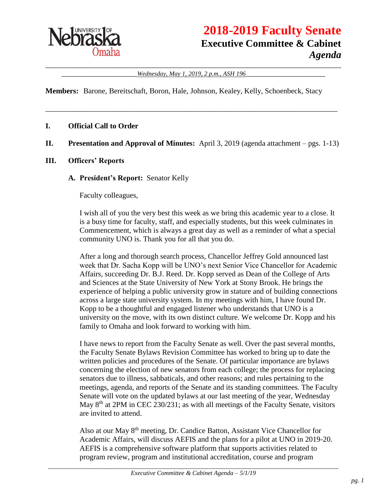

# **2018-2019 Faculty Senate Executive Committee & Cabinet** *Agenda*

\_\_\_\_\_\_\_\_\_\_\_\_\_\_\_\_\_\_\_\_\_\_\_\_\_\_\_\_\_\_\_\_\_\_\_\_\_\_\_\_\_\_\_\_\_\_\_\_\_\_\_\_\_\_\_\_\_\_\_\_\_\_\_\_\_\_\_\_\_\_\_\_\_\_\_\_\_\_ \_\_\_\_\_\_\_\_\_\_\_\_\_\_\_\_\_\_\_\_*Wednesday, May 1, 2019, 2 p.m., ASH 196*\_\_\_\_\_\_\_\_\_\_\_\_\_\_\_\_\_\_\_\_\_

**Members:** Barone, Bereitschaft, Boron, Hale, Johnson, Kealey, Kelly, Schoenbeck, Stacy

#### **I. Official Call to Order**

#### **II. Presentation and Approval of Minutes:** April 3, 2019 (agenda attachment – pgs. 1-13)

\_\_\_\_\_\_\_\_\_\_\_\_\_\_\_\_\_\_\_\_\_\_\_\_\_\_\_\_\_\_\_\_\_\_\_\_\_\_\_\_\_\_\_\_\_\_\_\_\_\_\_\_\_\_\_\_\_\_\_\_\_\_\_\_\_\_\_\_\_\_\_\_\_\_\_\_\_

#### **III. Officers' Reports**

#### **A. President's Report:** Senator Kelly

Faculty colleagues,

I wish all of you the very best this week as we bring this academic year to a close. It is a busy time for faculty, staff, and especially students, but this week culminates in Commencement, which is always a great day as well as a reminder of what a special community UNO is. Thank you for all that you do.

After a long and thorough search process, Chancellor Jeffrey Gold announced last week that Dr. Sacha Kopp will be UNO's next Senior Vice Chancellor for Academic Affairs, succeeding Dr. B.J. Reed. Dr. Kopp served as Dean of the College of Arts and Sciences at the State University of New York at Stony Brook. He brings the experience of helping a public university grow in stature and of building connections across a large state university system. In my meetings with him, I have found Dr. Kopp to be a thoughtful and engaged listener who understands that UNO is a university on the move, with its own distinct culture. We welcome Dr. Kopp and his family to Omaha and look forward to working with him.

I have news to report from the Faculty Senate as well. Over the past several months, the Faculty Senate Bylaws Revision Committee has worked to bring up to date the written policies and procedures of the Senate. Of particular importance are bylaws concerning the election of new senators from each college; the process for replacing senators due to illness, sabbaticals, and other reasons; and rules pertaining to the meetings, agenda, and reports of the Senate and its standing committees. The Faculty Senate will vote on the updated bylaws at our last meeting of the year, Wednesday May 8<sup>th</sup> at 2PM in CEC 230/231; as with all meetings of the Faculty Senate, visitors are invited to attend.

Also at our May 8th meeting, Dr. Candice Batton, Assistant Vice Chancellor for Academic Affairs, will discuss AEFIS and the plans for a pilot at UNO in 2019-20. AEFIS is a comprehensive software platform that supports activities related to program review, program and institutional accreditation, course and program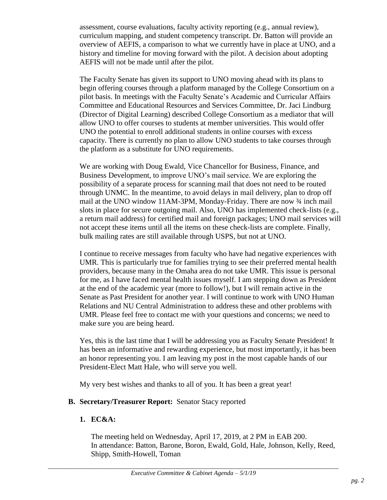assessment, course evaluations, faculty activity reporting (e.g., annual review), curriculum mapping, and student competency transcript. Dr. Batton will provide an overview of AEFIS, a comparison to what we currently have in place at UNO, and a history and timeline for moving forward with the pilot. A decision about adopting AEFIS will not be made until after the pilot.

The Faculty Senate has given its support to UNO moving ahead with its plans to begin offering courses through a platform managed by the College Consortium on a pilot basis. In meetings with the Faculty Senate's Academic and Curricular Affairs Committee and Educational Resources and Services Committee, Dr. Jaci Lindburg (Director of Digital Learning) described College Consortium as a mediator that will allow UNO to offer courses to students at member universities. This would offer UNO the potential to enroll additional students in online courses with excess capacity. There is currently no plan to allow UNO students to take courses through the platform as a substitute for UNO requirements.

We are working with Doug Ewald, Vice Chancellor for Business, Finance, and Business Development, to improve UNO's mail service. We are exploring the possibility of a separate process for scanning mail that does not need to be routed through UNMC. In the meantime, to avoid delays in mail delivery, plan to drop off mail at the UNO window 11AM-3PM, Monday-Friday. There are now  $\frac{3}{4}$  inch mail slots in place for secure outgoing mail. Also, UNO has implemented check-lists (e.g., a return mail address) for certified mail and foreign packages; UNO mail services will not accept these items until all the items on these check-lists are complete. Finally, bulk mailing rates are still available through USPS, but not at UNO.

I continue to receive messages from faculty who have had negative experiences with UMR. This is particularly true for families trying to see their preferred mental health providers, because many in the Omaha area do not take UMR. This issue is personal for me, as I have faced mental health issues myself. I am stepping down as President at the end of the academic year (more to follow!), but I will remain active in the Senate as Past President for another year. I will continue to work with UNO Human Relations and NU Central Administration to address these and other problems with UMR. Please feel free to contact me with your questions and concerns; we need to make sure you are being heard.

Yes, this is the last time that I will be addressing you as Faculty Senate President! It has been an informative and rewarding experience, but most importantly, it has been an honor representing you. I am leaving my post in the most capable hands of our President-Elect Matt Hale, who will serve you well.

My very best wishes and thanks to all of you. It has been a great year!

#### **B. Secretary/Treasurer Report:** Senator Stacy reported

# **1. EC&A:**

The meeting held on Wednesday, April 17, 2019, at 2 PM in EAB 200. In attendance: Batton, Barone, Boron, Ewald, Gold, Hale, Johnson, Kelly, Reed, Shipp, Smith-Howell, Toman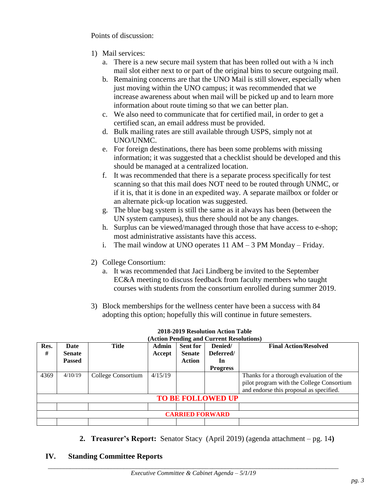Points of discussion:

- 1) Mail services:
	- a. There is a new secure mail system that has been rolled out with a ¾ inch mail slot either next to or part of the original bins to secure outgoing mail.
	- b. Remaining concerns are that the UNO Mail is still slower, especially when just moving within the UNO campus; it was recommended that we increase awareness about when mail will be picked up and to learn more information about route timing so that we can better plan.
	- c. We also need to communicate that for certified mail, in order to get a certified scan, an email address must be provided.
	- d. Bulk mailing rates are still available through USPS, simply not at UNO/UNMC.
	- e. For foreign destinations, there has been some problems with missing information; it was suggested that a checklist should be developed and this should be managed at a centralized location.
	- f. It was recommended that there is a separate process specifically for test scanning so that this mail does NOT need to be routed through UNMC, or if it is, that it is done in an expedited way. A separate mailbox or folder or an alternate pick-up location was suggested.
	- g. The blue bag system is still the same as it always has been (between the UN system campuses), thus there should not be any changes.
	- h. Surplus can be viewed/managed through those that have access to e-shop; most administrative assistants have this access.
	- i. The mail window at UNO operates 11 AM 3 PM Monday Friday.
- 2) College Consortium:
	- a. It was recommended that Jaci Lindberg be invited to the September EC&A meeting to discuss feedback from faculty members who taught courses with students from the consortium enrolled during summer 2019.
- 3) Block memberships for the wellness center have been a success with 84 adopting this option; hopefully this will continue in future semesters.

| Res.<br>#                | Date<br><b>Senate</b><br><b>Passed</b> | <b>Title</b>       | Admin<br>Accept | <b>Sent for</b><br><b>Senate</b><br><b>Action</b> | Denied/<br>Deferred/<br>In<br><b>Progress</b> | <b>Final Action/Resolved</b>                                                                                                    |  |
|--------------------------|----------------------------------------|--------------------|-----------------|---------------------------------------------------|-----------------------------------------------|---------------------------------------------------------------------------------------------------------------------------------|--|
| 4369                     | 4/10/19                                | College Consortium | 4/15/19         |                                                   |                                               | Thanks for a thorough evaluation of the<br>pilot program with the College Consortium<br>and endorse this proposal as specified. |  |
| <b>TO BE FOLLOWED UP</b> |                                        |                    |                 |                                                   |                                               |                                                                                                                                 |  |
|                          |                                        |                    |                 |                                                   |                                               |                                                                                                                                 |  |
| <b>CARRIED FORWARD</b>   |                                        |                    |                 |                                                   |                                               |                                                                                                                                 |  |
|                          |                                        |                    |                 |                                                   |                                               |                                                                                                                                 |  |

#### **2018-2019 Resolution Action Table (Action Pending and Current Resolutions)**

**2. Treasurer's Report:** Senator Stacy (April 2019) (agenda attachment – pg. 14**)** 

#### **IV. Standing Committee Reports**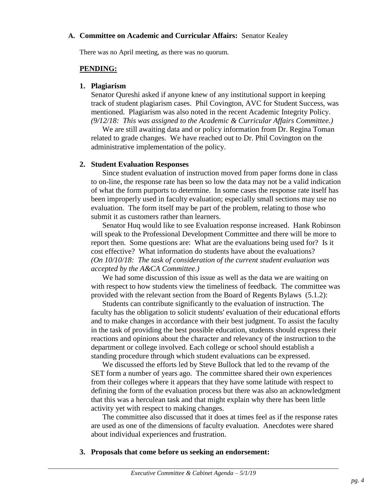#### **A. Committee on Academic and Curricular Affairs:** Senator Kealey

There was no April meeting, as there was no quorum.

### **PENDING:**

#### **1. Plagiarism**

Senator Qureshi asked if anyone knew of any institutional support in keeping track of student plagiarism cases. Phil Covington, AVC for Student Success, was mentioned. Plagiarism was also noted in the recent Academic Integrity Policy. *(9/12/18: This was assigned to the Academic & Curricular Affairs Committee.)* 

We are still awaiting data and or policy information from Dr. Regina Toman related to grade changes. We have reached out to Dr. Phil Covington on the administrative implementation of the policy.

#### **2. Student Evaluation Responses**

Since student evaluation of instruction moved from paper forms done in class to on-line, the response rate has been so low the data may not be a valid indication of what the form purports to determine. In some cases the response rate itself has been improperly used in faculty evaluation; especially small sections may use no evaluation. The form itself may be part of the problem, relating to those who submit it as customers rather than learners.

Senator Huq would like to see Evaluation response increased. Hank Robinson will speak to the Professional Development Committee and there will be more to report then. Some questions are: What are the evaluations being used for? Is it cost effective? What information do students have about the evaluations? *(On 10/10/18: The task of consideration of the current student evaluation was accepted by the A&CA Committee.)*

We had some discussion of this issue as well as the data we are waiting on with respect to how students view the timeliness of feedback. The committee was provided with the relevant section from the Board of Regents Bylaws (5.1.2):

Students can contribute significantly to the evaluation of instruction. The faculty has the obligation to solicit students' evaluation of their educational efforts and to make changes in accordance with their best judgment. To assist the faculty in the task of providing the best possible education, students should express their reactions and opinions about the character and relevancy of the instruction to the department or college involved. Each college or school should establish a standing procedure through which student evaluations can be expressed.

We discussed the efforts led by Steve Bullock that led to the revamp of the SET form a number of years ago. The committee shared their own experiences from their colleges where it appears that they have some latitude with respect to defining the form of the evaluation process but there was also an acknowledgment that this was a herculean task and that might explain why there has been little activity yet with respect to making changes.

The committee also discussed that it does at times feel as if the response rates are used as one of the dimensions of faculty evaluation. Anecdotes were shared about individual experiences and frustration.

**3. Proposals that come before us seeking an endorsement:**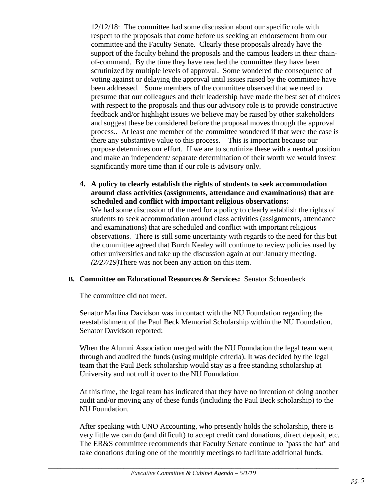12/12/18: The committee had some discussion about our specific role with respect to the proposals that come before us seeking an endorsement from our committee and the Faculty Senate. Clearly these proposals already have the support of the faculty behind the proposals and the campus leaders in their chainof-command. By the time they have reached the committee they have been scrutinized by multiple levels of approval. Some wondered the consequence of voting against or delaying the approval until issues raised by the committee have been addressed. Some members of the committee observed that we need to presume that our colleagues and their leadership have made the best set of choices with respect to the proposals and thus our advisory role is to provide constructive feedback and/or highlight issues we believe may be raised by other stakeholders and suggest these be considered before the proposal moves through the approval process.. At least one member of the committee wondered if that were the case is there any substantive value to this process. This is important because our purpose determines our effort. If we are to scrutinize these with a neutral position and make an independent/ separate determination of their worth we would invest significantly more time than if our role is advisory only.

**4. A policy to clearly establish the rights of students to seek accommodation around class activities (assignments, attendance and examinations) that are scheduled and conflict with important religious observations:** We had some discussion of the need for a policy to clearly establish the rights of students to seek accommodation around class activities (assignments, attendance and examinations) that are scheduled and conflict with important religious observations. There is still some uncertainty with regards to the need for this but the committee agreed that Burch Kealey will continue to review policies used by other universities and take up the discussion again at our January meeting. *(2/27/19)*There was not been any action on this item.

#### **B. Committee on Educational Resources & Services:** Senator Schoenbeck

The committee did not meet.

Senator Marlina Davidson was in contact with the NU Foundation regarding the reestablishment of the Paul Beck Memorial Scholarship within the NU Foundation. Senator Davidson reported:

When the Alumni Association merged with the NU Foundation the legal team went through and audited the funds (using multiple criteria). It was decided by the legal team that the Paul Beck scholarship would stay as a free standing scholarship at University and not roll it over to the NU Foundation.

At this time, the legal team has indicated that they have no intention of doing another audit and/or moving any of these funds (including the Paul Beck scholarship) to the NU Foundation.

After speaking with UNO Accounting, who presently holds the scholarship, there is very little we can do (and difficult) to accept credit card donations, direct deposit, etc. The ER&S committee recommends that Faculty Senate continue to "pass the hat" and take donations during one of the monthly meetings to facilitate additional funds.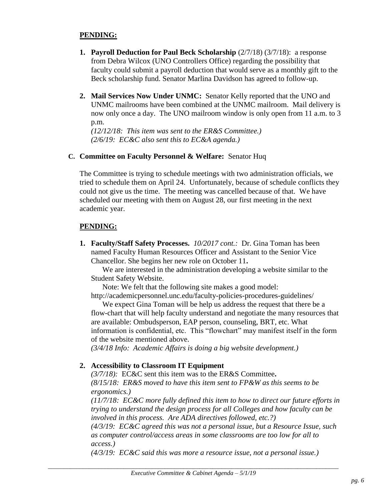#### **PENDING:**

- **1. Payroll Deduction for Paul Beck Scholarship**  $(2/7/18)$   $(3/7/18)$ : a response from Debra Wilcox (UNO Controllers Office) regarding the possibility that faculty could submit a payroll deduction that would serve as a monthly gift to the Beck scholarship fund. Senator Marlina Davidson has agreed to follow-up.
- **2. Mail Services Now Under UNMC:** Senator Kelly reported that the UNO and UNMC mailrooms have been combined at the UNMC mailroom. Mail delivery is now only once a day. The UNO mailroom window is only open from 11 a.m. to 3 p.m.

*(12/12/18: This item was sent to the ER&S Committee.) (2/6/19: EC&C also sent this to EC&A agenda.)*

#### **C. Committee on Faculty Personnel & Welfare:** Senator Huq

The Committee is trying to schedule meetings with two administration officials, we tried to schedule them on April 24. Unfortunately, because of schedule conflicts they could not give us the time. The meeting was cancelled because of that. We have scheduled our meeting with them on August 28, our first meeting in the next academic year.

#### **PENDING:**

**1. Faculty/Staff Safety Processes.** *10/2017 cont.:* Dr. Gina Toman has been named Faculty Human Resources Officer and Assistant to the Senior Vice Chancellor. She begins her new role on October 11**.**

We are interested in the administration developing a website similar to the Student Safety Website.

Note: We felt that the following site makes a good model:

http://academicpersonnel.unc.edu/faculty-policies-procedures-guidelines/

We expect Gina Toman will be help us address the request that there be a flow-chart that will help faculty understand and negotiate the many resources that are available: Ombudsperson, EAP person, counseling, BRT, etc. What information is confidential, etc. This "flowchart" may manifest itself in the form of the website mentioned above.

*(3/4/18 Info: Academic Affairs is doing a big website development.)*

#### **2. Accessibility to Classroom IT Equipment**

*(3/7/18):* EC&C sent this item was to the ER&S Committee**.**  *(8/15/18: ER&S moved to have this item sent to FP&W as this seems to be ergonomics.)* 

*(11/7/18: EC&C more fully defined this item to how to direct our future efforts in trying to understand the design process for all Colleges and how faculty can be involved in this process. Are ADA directives followed, etc.?)* 

*(4/3/19: EC&C agreed this was not a personal issue, but a Resource Issue, such as computer control/access areas in some classrooms are too low for all to access.)*

*(4/3/19: EC&C said this was more a resource issue, not a personal issue.)*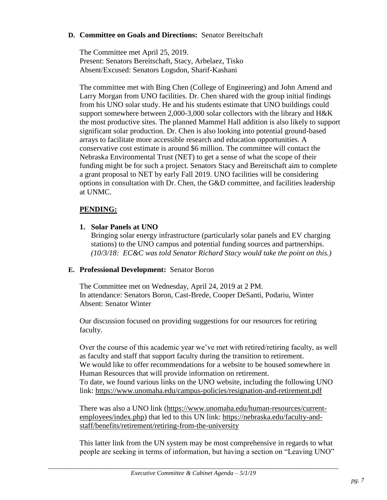#### **D. Committee on Goals and Directions:** Senator Bereitschaft

The Committee met April 25, 2019. Present: Senators Bereitschaft, Stacy, Arbelaez, Tisko Absent/Excused: Senators Logsdon, Sharif-Kashani

The committee met with Bing Chen (College of Engineering) and John Amend and Larry Morgan from UNO facilities. Dr. Chen shared with the group initial findings from his UNO solar study. He and his students estimate that UNO buildings could support somewhere between 2,000-3,000 solar collectors with the library and H&K the most productive sites. The planned Mammel Hall addition is also likely to support significant solar production. Dr. Chen is also looking into potential ground-based arrays to facilitate more accessible research and education opportunities. A conservative cost estimate is around \$6 million. The committee will contact the Nebraska Environmental Trust (NET) to get a sense of what the scope of their funding might be for such a project. Senators Stacy and Bereitschaft aim to complete a grant proposal to NET by early Fall 2019. UNO facilities will be considering options in consultation with Dr. Chen, the G&D committee, and facilities leadership at UNMC.

#### **PENDING:**

**1. Solar Panels at UNO**

Bringing solar energy infrastructure (particularly solar panels and EV charging stations) to the UNO campus and potential funding sources and partnerships. *(10/3/18: EC&C was told Senator Richard Stacy would take the point on this.)*

#### **E. Professional Development:** Senator Boron

The Committee met on Wednesday, April 24, 2019 at 2 PM. In attendance: Senators Boron, Cast-Brede, Cooper DeSanti, Podariu, Winter Absent: Senator Winter

Our discussion focused on providing suggestions for our resources for retiring faculty.

Over the course of this academic year we've met with retired/retiring faculty, as well as faculty and staff that support faculty during the transition to retirement. We would like to offer recommendations for a website to be housed somewhere in Human Resources that will provide information on retirement. To date, we found various links on the UNO website, including the following UNO link:<https://www.unomaha.edu/campus-policies/resignation-and-retirement.pdf>

There was also a UNO link [\(https://www.unomaha.edu/human-resources/current](https://www.unomaha.edu/human-resources/current-employees/index.php)[employees/index.php\)](https://www.unomaha.edu/human-resources/current-employees/index.php) that led to this UN link: [https://nebraska.edu/faculty-and](https://nebraska.edu/faculty-and-staff/benefits/retirement/retiring-from-the-university)[staff/benefits/retirement/retiring-from-the-university](https://nebraska.edu/faculty-and-staff/benefits/retirement/retiring-from-the-university)

This latter link from the UN system may be most comprehensive in regards to what people are seeking in terms of information, but having a section on "Leaving UNO"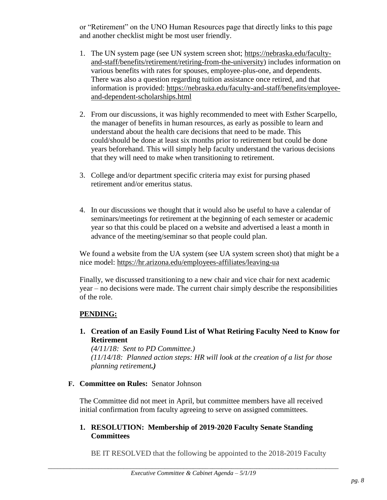or "Retirement" on the UNO Human Resources page that directly links to this page and another checklist might be most user friendly.

- 1. The UN system page (see UN system screen shot; [https://nebraska.edu/faculty](https://nebraska.edu/faculty-and-staff/benefits/retirement/retiring-from-the-university)[and-staff/benefits/retirement/retiring-from-the-university\)](https://nebraska.edu/faculty-and-staff/benefits/retirement/retiring-from-the-university) includes information on various benefits with rates for spouses, employee-plus-one, and dependents. There was also a question regarding tuition assistance once retired, and that information is provided: [https://nebraska.edu/faculty-and-staff/benefits/employee](https://nebraska.edu/faculty-and-staff/benefits/employee-and-dependent-scholarships.html)[and-dependent-scholarships.html](https://nebraska.edu/faculty-and-staff/benefits/employee-and-dependent-scholarships.html)
- 2. From our discussions, it was highly recommended to meet with Esther Scarpello, the manager of benefits in human resources, as early as possible to learn and understand about the health care decisions that need to be made. This could/should be done at least six months prior to retirement but could be done years beforehand. This will simply help faculty understand the various decisions that they will need to make when transitioning to retirement.
- 3. College and/or department specific criteria may exist for pursing phased retirement and/or emeritus status.
- 4. In our discussions we thought that it would also be useful to have a calendar of seminars/meetings for retirement at the beginning of each semester or academic year so that this could be placed on a website and advertised a least a month in advance of the meeting/seminar so that people could plan.

We found a website from the UA system (see UA system screen shot) that might be a nice model:<https://hr.arizona.edu/employees-affiliates/leaving-ua>

Finally, we discussed transitioning to a new chair and vice chair for next academic year – no decisions were made. The current chair simply describe the responsibilities of the role.

# **PENDING:**

**1. Creation of an Easily Found List of What Retiring Faculty Need to Know for Retirement**

*(4/11/18: Sent to PD Committee.) (11/14/18: Planned action steps: HR will look at the creation of a list for those planning retirement.)*

**F. Committee on Rules:** Senator Johnson

The Committee did not meet in April, but committee members have all received initial confirmation from faculty agreeing to serve on assigned committees.

# **1. RESOLUTION: Membership of 2019-2020 Faculty Senate Standing Committees**

BE IT RESOLVED that the following be appointed to the 2018-2019 Faculty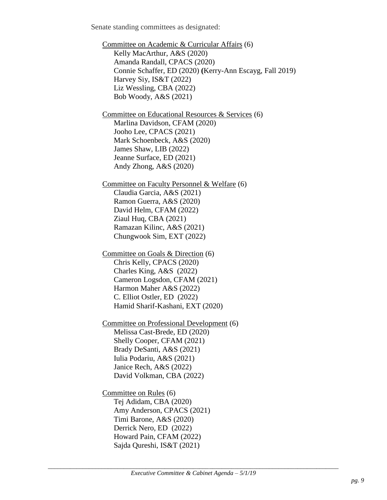Senate standing committees as designated:

Committee on Academic & Curricular Affairs (6) Kelly MacArthur, A&S (2020) Amanda Randall, CPACS (2020) Connie Schaffer, ED (2020) **(**Kerry-Ann Escayg, Fall 2019) Harvey Siy, IS&T (2022) Liz Wessling, CBA (2022) Bob Woody, A&S (2021) Committee on Educational Resources & Services (6) Marlina Davidson, CFAM (2020) Jooho Lee, CPACS (2021) Mark Schoenbeck, A&S (2020) James Shaw, LIB (2022) Jeanne Surface, ED (2021) Andy Zhong, A&S (2020) Committee on Faculty Personnel & Welfare (6) Claudia Garcia, A&S (2021) Ramon Guerra, A&S (2020) David Helm, CFAM (2022) Ziaul Huq, CBA (2021) Ramazan Kilinc, A&S (2021) Chungwook Sim, EXT (2022) Committee on Goals & Direction (6) Chris Kelly, CPACS (2020) Charles King, A&S (2022) Cameron Logsdon, CFAM (2021) Harmon Maher A&S (2022) C. Elliot Ostler, ED (2022) Hamid Sharif-Kashani, EXT (2020) Committee on Professional Development (6) Melissa Cast-Brede, ED (2020) Shelly Cooper, CFAM (2021) Brady DeSanti, A&S (2021) Iulia Podariu, A&S (2021) Janice Rech, A&S (2022) David Volkman, CBA (2022) Committee on Rules (6) Tej Adidam, CBA (2020) Amy Anderson, CPACS (2021) Timi Barone, A&S (2020) Derrick Nero, ED (2022) Howard Pain, CFAM (2022) Sajda Qureshi, IS&T (2021)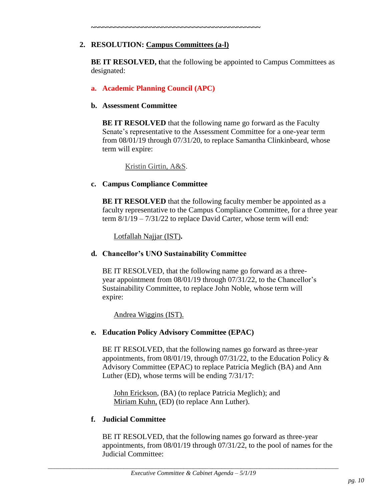# **2. RESOLUTION: Campus Committees (a-l)**

**~~~~~~~~~~~~~~~~~~~~~~~~~~~~~~~~~~~~~~~~~~~**

**BE IT RESOLVED, that the following be appointed to Campus Committees as** designated:

# **a. Academic Planning Council (APC)**

### **b. Assessment Committee**

**BE IT RESOLVED** that the following name go forward as the Faculty Senate's representative to the Assessment Committee for a one-year term from 08/01/19 through 07/31/20, to replace Samantha Clinkinbeard, whose term will expire:

Kristin Girtin, A&S.

# **c. Campus Compliance Committee**

**BE IT RESOLVED** that the following faculty member be appointed as a faculty representative to the Campus Compliance Committee, for a three year term 8/1/19 – 7/31/22 to replace David Carter, whose term will end:

Lotfallah Najjar (IST)**.**

# **d. Chancellor's UNO Sustainability Committee**

BE IT RESOLVED, that the following name go forward as a threeyear appointment from 08/01/19 through 07/31/22, to the Chancellor's Sustainability Committee, to replace John Noble, whose term will expire:

Andrea Wiggins (IST).

# **e. Education Policy Advisory Committee (EPAC)**

BE IT RESOLVED, that the following names go forward as three-year appointments, from 08/01/19, through 07/31/22, to the Education Policy & Advisory Committee (EPAC) to replace Patricia Meglich (BA) and Ann Luther (ED), whose terms will be ending 7/31/17:

John Erickson, (BA) (to replace Patricia Meglich); and Miriam Kuhn, (ED) (to replace Ann Luther).

#### **f. Judicial Committee**

BE IT RESOLVED, that the following names go forward as three-year appointments, from 08/01/19 through 07/31/22, to the pool of names for the Judicial Committee: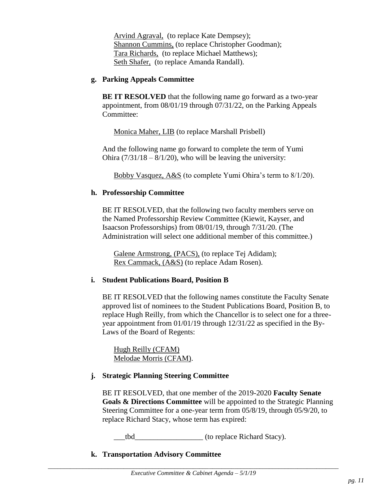Arvind Agraval, (to replace Kate Dempsey); Shannon Cummins, (to replace Christopher Goodman); Tara Richards, (to replace Michael Matthews); Seth Shafer, (to replace Amanda Randall).

#### **g. Parking Appeals Committee**

**BE IT RESOLVED** that the following name go forward as a two-year appointment, from 08/01/19 through 07/31/22, on the Parking Appeals Committee:

Monica Maher, LIB (to replace Marshall Prisbell)

And the following name go forward to complete the term of Yumi Ohira  $(7/31/18 - 8/1/20)$ , who will be leaving the university:

Bobby Vasquez, A&S (to complete Yumi Ohira's term to 8/1/20).

#### **h. Professorship Committee**

BE IT RESOLVED, that the following two faculty members serve on the Named Professorship Review Committee (Kiewit, Kayser, and Isaacson Professorships) from 08/01/19, through 7/31/20. (The Administration will select one additional member of this committee.)

Galene Armstrong, (PACS), (to replace Tej Adidam); Rex Cammack, (A&S) (to replace Adam Rosen).

#### **i. Student Publications Board, Position B**

BE IT RESOLVED that the following names constitute the Faculty Senate approved list of nominees to the Student Publications Board, Position B, to replace Hugh Reilly, from which the Chancellor is to select one for a threeyear appointment from 01/01/19 through 12/31/22 as specified in the By-Laws of the Board of Regents:

Hugh Reilly (CFAM) Melodae Morris (CFAM).

#### **j. Strategic Planning Steering Committee**

BE IT RESOLVED, that one member of the 2019-2020 **Faculty Senate Goals & Directions Committee** will be appointed to the Strategic Planning Steering Committee for a one-year term from 05/8/19, through 05/9/20, to replace Richard Stacy, whose term has expired:

\_\_\_tbd\_\_\_\_\_\_\_\_\_\_\_\_\_\_\_\_\_\_ (to replace Richard Stacy).

**k. Transportation Advisory Committee**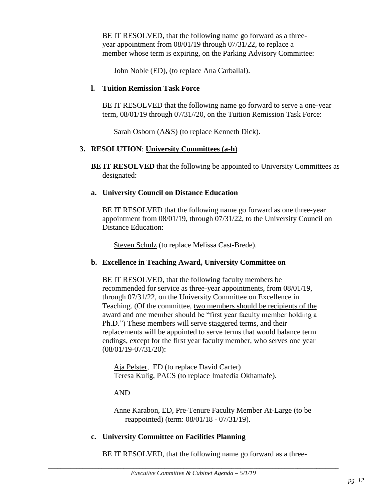BE IT RESOLVED, that the following name go forward as a threeyear appointment from 08/01/19 through 07/31/22, to replace a member whose term is expiring, on the Parking Advisory Committee:

John Noble (ED), (to replace Ana Carballal).

#### **l. Tuition Remission Task Force**

BE IT RESOLVED that the following name go forward to serve a one-year term, 08/01/19 through 07/31//20, on the Tuition Remission Task Force:

Sarah Osborn (A&S) (to replace Kenneth Dick).

#### **3. RESOLUTION**: **University Committees (a-h**)

**BE IT RESOLVED** that the following be appointed to University Committees as designated:

#### **a. University Council on Distance Education**

BE IT RESOLVED that the following name go forward as one three-year appointment from 08/01/19, through 07/31/22, to the University Council on Distance Education:

Steven Schulz (to replace Melissa Cast-Brede).

#### **b. Excellence in Teaching Award, University Committee on**

BE IT RESOLVED, that the following faculty members be recommended for service as three-year appointments, from 08/01/19, through 07/31/22, on the University Committee on Excellence in Teaching. (Of the committee, two members should be recipients of the award and one member should be "first year faculty member holding a Ph.D.") These members will serve staggered terms, and their replacements will be appointed to serve terms that would balance term endings, except for the first year faculty member, who serves one year (08/01/19-07/31/20):

Aja Pelster, ED (to replace David Carter) Teresa Kulig, PACS (to replace Imafedia Okhamafe).

#### AND

Anne Karabon, ED, Pre-Tenure Faculty Member At-Large (to be reappointed) (term: 08/01/18 - 07/31/19).

#### **c. University Committee on Facilities Planning**

BE IT RESOLVED, that the following name go forward as a three-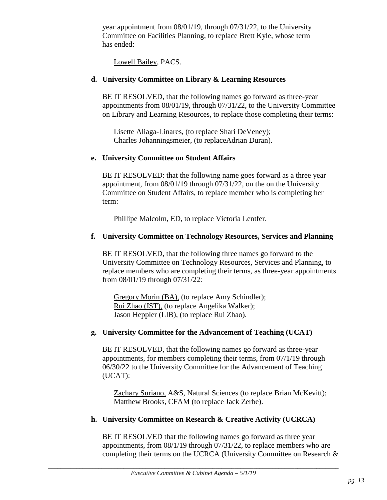year appointment from 08/01/19, through 07/31/22, to the University Committee on Facilities Planning, to replace Brett Kyle, whose term has ended:

Lowell Bailey, PACS.

#### **d. University Committee on Library & Learning Resources**

BE IT RESOLVED, that the following names go forward as three-year appointments from 08/01/19, through 07/31/22, to the University Committee on Library and Learning Resources, to replace those completing their terms:

Lisette Aliaga-Linares, (to replace Shari DeVeney); Charles Johanningsmeier, (to replaceAdrian Duran).

#### **e. University Committee on Student Affairs**

BE IT RESOLVED: that the following name goes forward as a three year appointment, from 08/01/19 through 07/31/22, on the on the University Committee on Student Affairs, to replace member who is completing her term:

Phillipe Malcolm, ED, to replace Victoria Lentfer.

#### **f. University Committee on Technology Resources, Services and Planning**

BE IT RESOLVED, that the following three names go forward to the University Committee on Technology Resources, Services and Planning, to replace members who are completing their terms, as three-year appointments from 08/01/19 through 07/31/22:

Gregory Morin (BA), (to replace Amy Schindler); Rui Zhao (IST), (to replace Angelika Walker); Jason Heppler (LIB), (to replace Rui Zhao).

#### **g. University Committee for the Advancement of Teaching (UCAT)**

BE IT RESOLVED, that the following names go forward as three-year appointments, for members completing their terms, from 07/1/19 through 06/30/22 to the University Committee for the Advancement of Teaching (UCAT):

Zachary Suriano, A&S, Natural Sciences (to replace Brian McKevitt); Matthew Brooks, CFAM (to replace Jack Zerbe).

#### **h. University Committee on Research & Creative Activity (UCRCA)**

BE IT RESOLVED that the following names go forward as three year appointments, from 08/1/19 through 07/31/22, to replace members who are completing their terms on the UCRCA (University Committee on Research &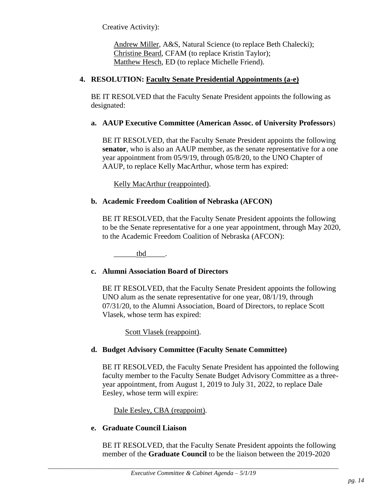Creative Activity):

Andrew Miller, A&S, Natural Science (to replace Beth Chalecki); Christine Beard, CFAM (to replace Kristin Taylor); Matthew Hesch, ED (to replace Michelle Friend).

### **4. RESOLUTION: Faculty Senate Presidential Appointments (a-e)**

BE IT RESOLVED that the Faculty Senate President appoints the following as designated:

#### **a. AAUP Executive Committee (American Assoc. of University Professors**)

BE IT RESOLVED, that the Faculty Senate President appoints the following **senator**, who is also an AAUP member, as the senate representative for a one year appointment from 05/9/19, through 05/8/20, to the UNO Chapter of AAUP, to replace Kelly MacArthur, whose term has expired:

Kelly MacArthur (reappointed).

# **b. Academic Freedom Coalition of Nebraska (AFCON)**

BE IT RESOLVED, that the Faculty Senate President appoints the following to be the Senate representative for a one year appointment, through May 2020, to the Academic Freedom Coalition of Nebraska (AFCON):

tbd.

#### **c. Alumni Association Board of Directors**

BE IT RESOLVED, that the Faculty Senate President appoints the following UNO alum as the senate representative for one year, 08/1/19, through 07/31/20, to the Alumni Association, Board of Directors, to replace Scott Vlasek, whose term has expired:

Scott Vlasek (reappoint).

#### **d. Budget Advisory Committee (Faculty Senate Committee)**

BE IT RESOLVED, the Faculty Senate President has appointed the following faculty member to the Faculty Senate Budget Advisory Committee as a threeyear appointment, from August 1, 2019 to July 31, 2022, to replace Dale Eesley, whose term will expire:

Dale Eesley, CBA (reappoint).

#### **e. Graduate Council Liaison**

BE IT RESOLVED, that the Faculty Senate President appoints the following member of the **Graduate Council** to be the liaison between the 2019-2020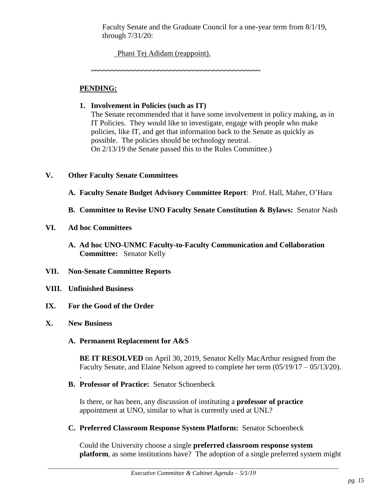Faculty Senate and the Graduate Council for a one-year term from 8/1/19, through 7/31/20:

Phani Tej Adidam (reappoint).

**~~~~~~~~~~~~~~~~~~~~~~~~~~~~~~~~~~~~~~~~~~~**

# **PENDING:**

# **1. Involvement in Policies (such as IT)**

The Senate recommended that it have some involvement in policy making, as in IT Policies. They would like to investigate, engage with people who make policies, like IT, and get that information back to the Senate as quickly as possible. The policies should be technology neutral. On 2/13/19 the Senate passed this to the Rules Committee.)

# **V. Other Faculty Senate Committees**

- **A. Faculty Senate Budget Advisory Committee Report**: Prof. Hall, Maher, O'Hara
- **B. Committee to Revise UNO Faculty Senate Constitution & Bylaws:** Senator Nash

# **VI. Ad hoc Committees**

- **A. Ad hoc UNO-UNMC Faculty-to-Faculty Communication and Collaboration Committee:** Senator Kelly
- **VII. Non-Senate Committee Reports**
- **VIII. Unfinished Business**
- **IX. For the Good of the Order**
- **X. New Business**

.

# **A. Permanent Replacement for A&S**

**BE IT RESOLVED** on April 30, 2019, Senator Kelly MacArthur resigned from the Faculty Senate, and Elaine Nelson agreed to complete her term (05/19/17 – 05/13/20).

**B. Professor of Practice:** Senator Schoenbeck

Is there, or has been, any discussion of instituting a **professor of practice** appointment at UNO, similar to what is currently used at UNL?

**C. Preferred Classroom Response System Platform:** Senator Schoenbeck

Could the University choose a single **preferred classroom response system platform**, as some institutions have? The adoption of a single preferred system might